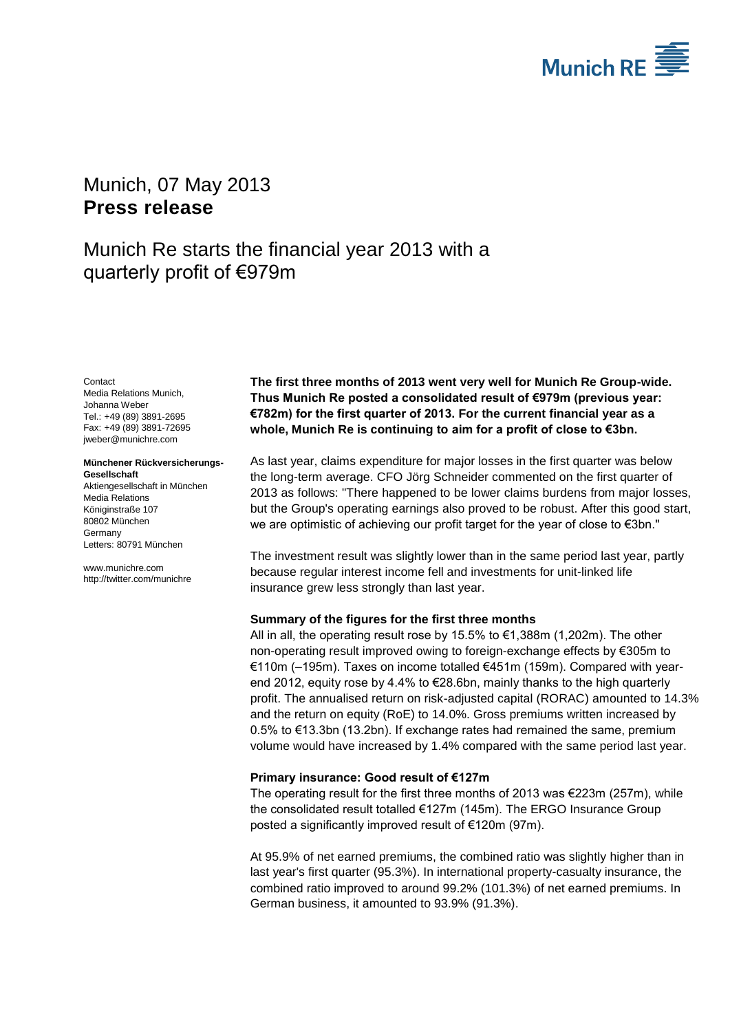

# <span id="page-0-2"></span>Munich, 07 May 2013 **Press release**

# Munich Re starts the financial year 2013 with a quarterly profit of €979m

<span id="page-0-1"></span><span id="page-0-0"></span>Contact Media Relations Munich, Johanna Weber Tel.: +49 (89) 3891-2695 Fax: +49 (89) 3891-72695 jweber@munichre.com

#### **Münchener Rückversicherungs-Gesellschaft**

Aktiengesellschaft in München Media Relations Königinstraße 107 80802 München Germany Letters: 80791 München

www.munichre.com http://twitter.com/munichre **The first three months of 2013 went very well for Munich Re Group-wide. Thus Munich Re posted a consolidated result of €979m (previous year: €782m) for the first quarter of 2013. For the current financial year as a whole, Munich Re is continuing to aim for a profit of close to €3bn.**

As last year, claims expenditure for major losses in the first quarter was below the long-term average. CFO Jörg Schneider commented on the first quarter of 2013 as follows: "There happened to be lower claims burdens from major losses, but the Group's operating earnings also proved to be robust. After this good start, we are optimistic of achieving our profit target for the year of close to €3bn."

The investment result was slightly lower than in the same period last year, partly because regular interest income fell and investments for unit-linked life insurance grew less strongly than last year.

## **Summary of the figures for the first three months**

All in all, the operating result rose by 15.5% to €1,388m (1,202m). The other non-operating result improved owing to foreign-exchange effects by €305m to €110m (–195m). Taxes on income totalled €451m (159m). Compared with yearend 2012, equity rose by 4.4% to €28.6bn, mainly thanks to the high quarterly profit. The annualised return on risk-adjusted capital (RORAC) amounted to 14.3% and the return on equity (RoE) to 14.0%. Gross premiums written increased by 0.5% to €13.3bn (13.2bn). If exchange rates had remained the same, premium volume would have increased by 1.4% compared with the same period last year.

## **Primary insurance: Good result of €127m**

The operating result for the first three months of 2013 was €223m (257m), while the consolidated result totalled €127m (145m). The ERGO Insurance Group posted a significantly improved result of €120m (97m).

At 95.9% of net earned premiums, the combined ratio was slightly higher than in last year's first quarter (95.3%). In international property-casualty insurance, the combined ratio improved to around 99.2% (101.3%) of net earned premiums. In German business, it amounted to 93.9% (91.3%).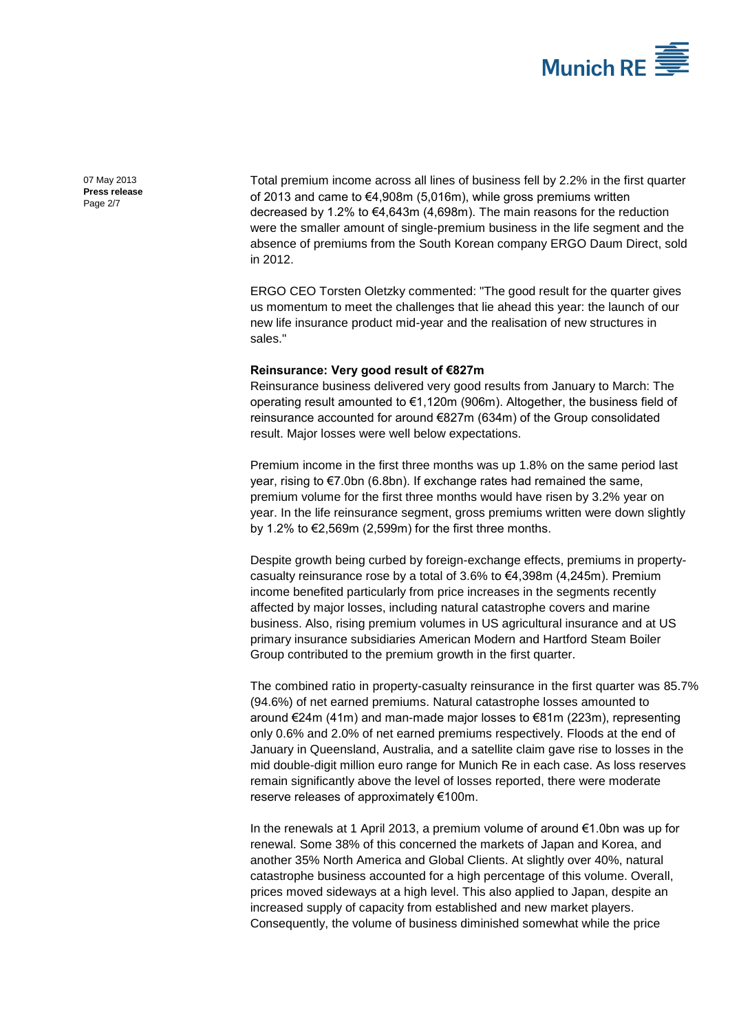

07 May 2013 **Press release** Page 2/7

Total premium income across all lines of business fell by 2.2% in the first quarter of 2013 and came to €4,908m (5,016m), while gross premiums written decreased by 1.2% to €4,643m (4,698m). The main reasons for the reduction were the smaller amount of single-premium business in the life segment and the absence of premiums from the South Korean company ERGO Daum Direct, sold in 2012.

ERGO CEO Torsten Oletzky commented: "The good result for the quarter gives us momentum to meet the challenges that lie ahead this year: the launch of our new life insurance product mid-year and the realisation of new structures in sales."

### **Reinsurance: Very good result of €827m**

Reinsurance business delivered very good results from January to March: The operating result amounted to €1,120m (906m). Altogether, the business field of reinsurance accounted for around €827m (634m) of the Group consolidated result. Major losses were well below expectations.

Premium income in the first three months was up 1.8% on the same period last year, rising to €7.0bn (6.8bn). If exchange rates had remained the same, premium volume for the first three months would have risen by 3.2% year on year. In the life reinsurance segment, gross premiums written were down slightly by 1.2% to €2,569m (2,599m) for the first three months.

Despite growth being curbed by foreign-exchange effects, premiums in propertycasualty reinsurance rose by a total of  $3.6\%$  to  $\epsilon$ 4,398m (4,245m). Premium income benefited particularly from price increases in the segments recently affected by major losses, including natural catastrophe covers and marine business. Also, rising premium volumes in US agricultural insurance and at US primary insurance subsidiaries American Modern and Hartford Steam Boiler Group contributed to the premium growth in the first quarter.

The combined ratio in property-casualty reinsurance in the first quarter was 85.7% (94.6%) of net earned premiums. Natural catastrophe losses amounted to around €24m (41m) and man-made major losses to €81m (223m), representing only 0.6% and 2.0% of net earned premiums respectively. Floods at the end of January in Queensland, Australia, and a satellite claim gave rise to losses in the mid double-digit million euro range for Munich Re in each case. As loss reserves remain significantly above the level of losses reported, there were moderate reserve releases of approximately €100m.

In the renewals at 1 April 2013, a premium volume of around €1.0bn was up for renewal. Some 38% of this concerned the markets of Japan and Korea, and another 35% North America and Global Clients. At slightly over 40%, natural catastrophe business accounted for a high percentage of this volume. Overall, prices moved sideways at a high level. This also applied to Japan, despite an increased supply of capacity from established and new market players. Consequently, the volume of business diminished somewhat while the price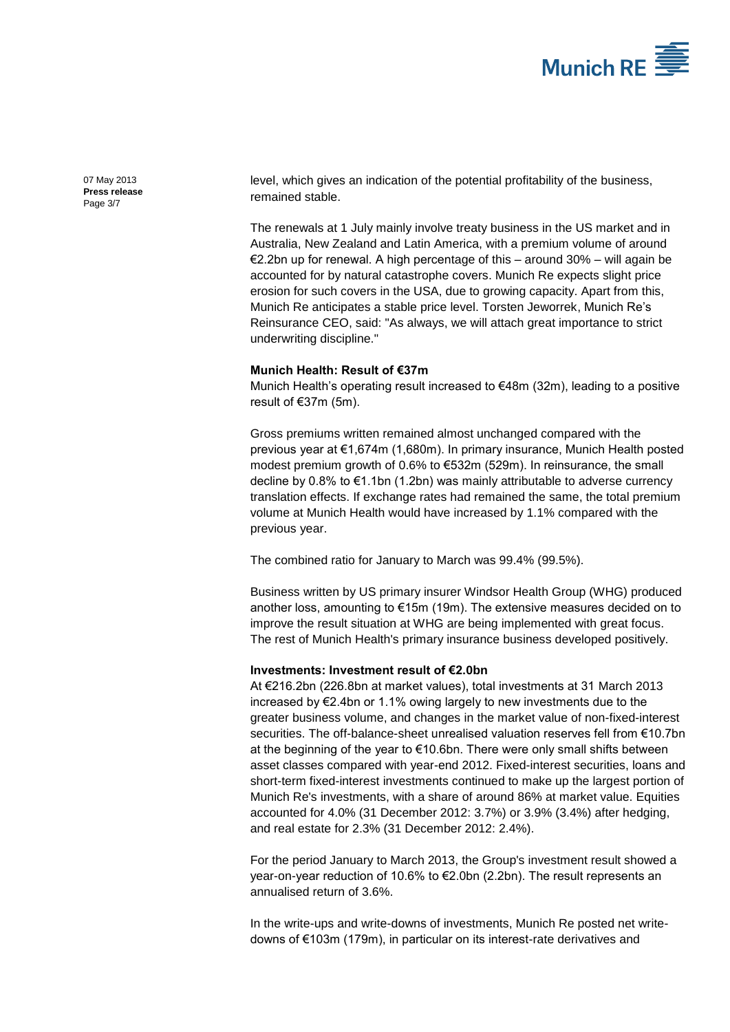

07 May 2013 **Press release** Page 3/7

level, which gives an indication of the potential profitability of the business, remained stable.

The renewals at 1 July mainly involve treaty business in the US market and in Australia, New Zealand and Latin America, with a premium volume of around €2.2bn up for renewal. A high percentage of this – around 30% – will again be accounted for by natural catastrophe covers. Munich Re expects slight price erosion for such covers in the USA, due to growing capacity. Apart from this, Munich Re anticipates a stable price level. Torsten Jeworrek, Munich Re's Reinsurance CEO, said: "As always, we will attach great importance to strict underwriting discipline."

#### **Munich Health: Result of €37m**

Munich Health's operating result increased to €48m (32m), leading to a positive result of €37m (5m).

Gross premiums written remained almost unchanged compared with the previous year at €1,674m (1,680m). In primary insurance, Munich Health posted modest premium growth of 0.6% to €532m (529m). In reinsurance, the small decline by 0.8% to €1.1bn (1.2bn) was mainly attributable to adverse currency translation effects. If exchange rates had remained the same, the total premium volume at Munich Health would have increased by 1.1% compared with the previous year.

The combined ratio for January to March was 99.4% (99.5%).

Business written by US primary insurer Windsor Health Group (WHG) produced another loss, amounting to €15m (19m). The extensive measures decided on to improve the result situation at WHG are being implemented with great focus. The rest of Munich Health's primary insurance business developed positively.

#### **Investments: Investment result of €2.0bn**

At €216.2bn (226.8bn at market values), total investments at 31 March 2013 increased by €2.4bn or 1.1% owing largely to new investments due to the greater business volume, and changes in the market value of non-fixed-interest securities. The off-balance-sheet unrealised valuation reserves fell from €10.7bn at the beginning of the year to €10.6bn. There were only small shifts between asset classes compared with year-end 2012. Fixed-interest securities, loans and short-term fixed-interest investments continued to make up the largest portion of Munich Re's investments, with a share of around 86% at market value. Equities accounted for 4.0% (31 December 2012: 3.7%) or 3.9% (3.4%) after hedging, and real estate for 2.3% (31 December 2012: 2.4%).

For the period January to March 2013, the Group's investment result showed a year-on-year reduction of 10.6% to €2.0bn (2.2bn). The result represents an annualised return of 3.6%.

In the write-ups and write-downs of investments, Munich Re posted net writedowns of €103m (179m), in particular on its interest-rate derivatives and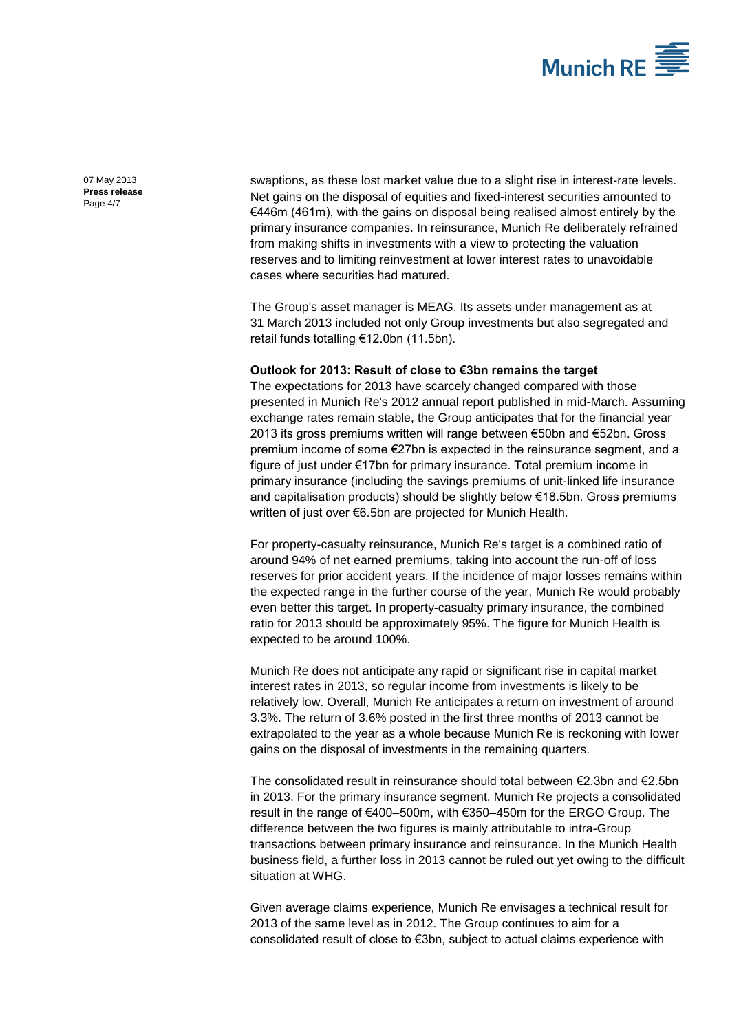

07 May 2013 **Press release** Page 4/7

swaptions, as these lost market value due to a slight rise in interest-rate levels. Net gains on the disposal of equities and fixed-interest securities amounted to €446m (461m), with the gains on disposal being realised almost entirely by the primary insurance companies. In reinsurance, Munich Re deliberately refrained from making shifts in investments with a view to protecting the valuation reserves and to limiting reinvestment at lower interest rates to unavoidable cases where securities had matured.

The Group's asset manager is MEAG. Its assets under management as at 31 March 2013 included not only Group investments but also segregated and retail funds totalling €12.0bn (11.5bn).

#### **Outlook for 2013: Result of close to €3bn remains the target**

The expectations for 2013 have scarcely changed compared with those presented in Munich Re's 2012 annual report published in mid-March. Assuming exchange rates remain stable, the Group anticipates that for the financial year 2013 its gross premiums written will range between €50bn and €52bn. Gross premium income of some €27bn is expected in the reinsurance segment, and a figure of just under €17bn for primary insurance. Total premium income in primary insurance (including the savings premiums of unit-linked life insurance and capitalisation products) should be slightly below €18.5bn. Gross premiums written of just over €6.5bn are projected for Munich Health.

For property-casualty reinsurance, Munich Re's target is a combined ratio of around 94% of net earned premiums, taking into account the run-off of loss reserves for prior accident years. If the incidence of major losses remains within the expected range in the further course of the year, Munich Re would probably even better this target. In property-casualty primary insurance, the combined ratio for 2013 should be approximately 95%. The figure for Munich Health is expected to be around 100%.

Munich Re does not anticipate any rapid or significant rise in capital market interest rates in 2013, so regular income from investments is likely to be relatively low. Overall, Munich Re anticipates a return on investment of around 3.3%. The return of 3.6% posted in the first three months of 2013 cannot be extrapolated to the year as a whole because Munich Re is reckoning with lower gains on the disposal of investments in the remaining quarters.

The consolidated result in reinsurance should total between €2.3bn and €2.5bn in 2013. For the primary insurance segment, Munich Re projects a consolidated result in the range of €400–500m, with €350–450m for the ERGO Group. The difference between the two figures is mainly attributable to intra-Group transactions between primary insurance and reinsurance. In the Munich Health business field, a further loss in 2013 cannot be ruled out yet owing to the difficult situation at WHG.

Given average claims experience, Munich Re envisages a technical result for 2013 of the same level as in 2012. The Group continues to aim for a consolidated result of close to €3bn, subject to actual claims experience with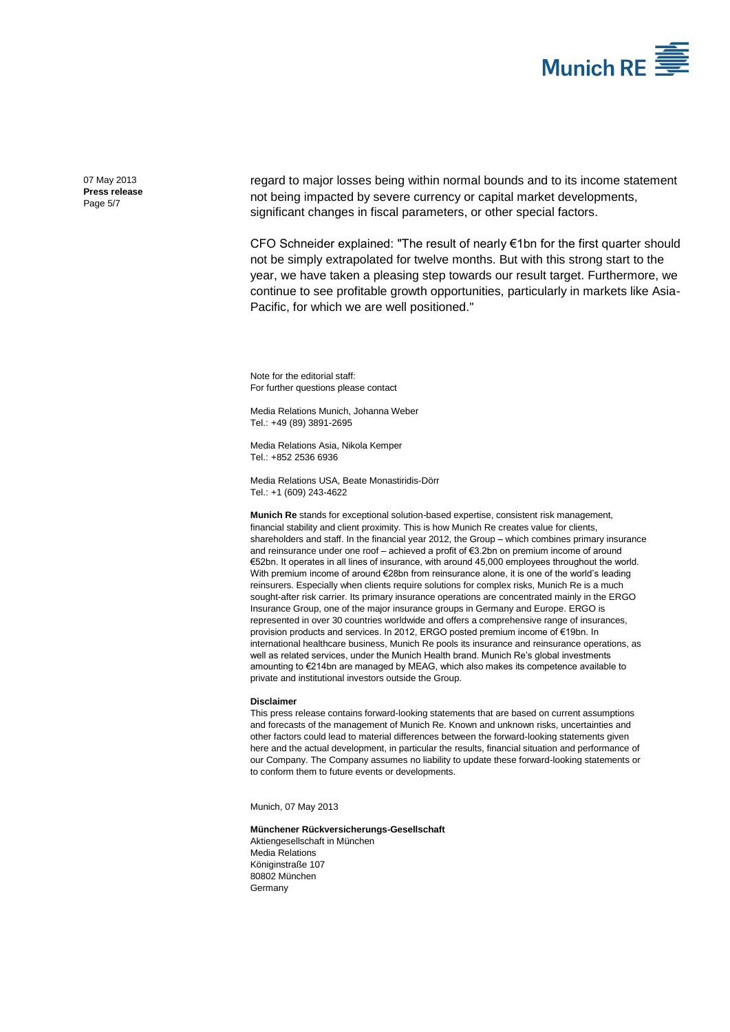

07 May 2013 **Press release** Page 5/7

regard to major losses being within normal bounds and to its income statement not being impacted by severe currency or capital market developments, significant changes in fiscal parameters, or other special factors.

CFO Schneider explained: "The result of nearly €1bn for the first quarter should not be simply extrapolated for twelve months. But with this strong start to the year, we have taken a pleasing step towards our result target. Furthermore, we continue to see profitable growth opportunities, particularly in markets like Asia-Pacific, for which we are well positioned."

Note for the editorial staff: For further questions please contact

Media Relations Munich[, Johanna Weber](#page-0-0) Tel.: +49 (89) 389[1-2695](#page-0-1)

Media Relations Asia, Nikola Kemper Tel.: +852 2536 6936

Media Relations USA, Beate Monastiridis-Dörr Tel.: +1 (609) 243-4622

**Munich Re** stands for exceptional solution-based expertise, consistent risk management, financial stability and client proximity. This is how Munich Re creates value for clients, shareholders and staff. In the financial year 2012, the Group – which combines primary insurance and reinsurance under one roof – achieved a profit of €3.2bn on premium income of around €52bn. It operates in all lines of insurance, with around 45,000 employees throughout the world. With premium income of around €28bn from reinsurance alone, it is one of the world's leading reinsurers. Especially when clients require solutions for complex risks, Munich Re is a much sought-after risk carrier. Its primary insurance operations are concentrated mainly in the ERGO Insurance Group, one of the major insurance groups in Germany and Europe. ERGO is represented in over 30 countries worldwide and offers a comprehensive range of insurances, provision products and services. In 2012, ERGO posted premium income of €19bn. In international healthcare business, Munich Re pools its insurance and reinsurance operations, as well as related services, under the Munich Health brand. Munich Re's global investments amounting to €214bn are managed by MEAG, which also makes its competence available to private and institutional investors outside the Group.

#### **Disclaimer**

This press release contains forward-looking statements that are based on current assumptions and forecasts of the management of Munich Re. Known and unknown risks, uncertainties and other factors could lead to material differences between the forward-looking statements given here and the actual development, in particular the results, financial situation and performance of our Company. The Company assumes no liability to update these forward-looking statements or to conform them to future events or developments.

Munich[, 07 May 2013](#page-0-2)

**Münchener Rückversicherungs-Gesellschaft** Aktiengesellschaft in München Media Relations Königinstraße 107 80802 München Germany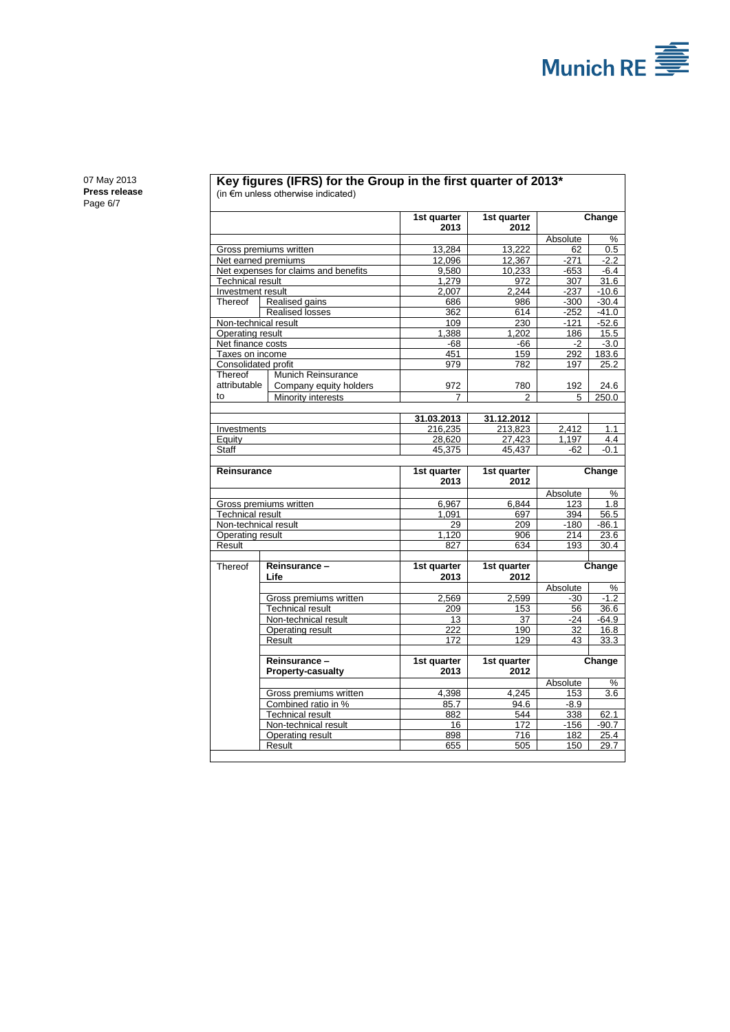

07 May 2013 **Press release** Page 6/7

#### **Key figures (IFRS) for the Group in the first quarter of 2013\*** (in €m unless otherwise indicated)

|                                      |                          | 1st quarter | 1st quarter | Change          |               |
|--------------------------------------|--------------------------|-------------|-------------|-----------------|---------------|
|                                      |                          | 2013        | 2012        |                 |               |
|                                      |                          |             |             | Absolute        | %             |
| Gross premiums written               |                          | 13.284      | 13.222      | 62              | 0.5           |
| Net earned premiums                  |                          | 12.096      | 12.367      | $-271$          | $-2.2$        |
| Net expenses for claims and benefits |                          | 9,580       | 10,233      | $-653$          | $-6.4$        |
| Technical result                     |                          | 1,279       | 972         | 307             | 31.6          |
| Investment result                    |                          | 2,007       | 2,244       | $-237$          | $-10.6$       |
| Thereof                              | Realised gains           | 686         | 986         | $-300$          | $-30.4$       |
| <b>Realised losses</b>               |                          | 362         | 614         | $-252$          | $-41.0$       |
| Non-technical result                 |                          | 109         | 230         | $-121$          | $-52.6$       |
| Operating result                     |                          | 1,388       | 1,202       | 186             | 15.5          |
| Net finance costs<br>Taxes on income |                          | $-68$       | $-66$       | $-2$            | $-3.0$        |
| Consolidated profit                  |                          | 451<br>979  | 159<br>782  | 292<br>197      | 183.6<br>25.2 |
| Thereof                              | Munich Reinsurance       |             |             |                 |               |
| attributable                         | Company equity holders   | 972         | 780         | 192             | 24.6          |
| to                                   | Minority interests       |             | 2           | 5               | 250.0         |
|                                      |                          |             |             |                 |               |
|                                      |                          | 31.03.2013  | 31.12.2012  |                 |               |
| Investments                          |                          | 216,235     | 213,823     | 2,412           | 1.1           |
| Equity                               |                          | 28,620      | 27,423      | 1,197           | 4.4           |
| Staff                                |                          | 45,375      | 45,437      | -62             | -0.1          |
| Reinsurance                          |                          | 1st quarter | 1st quarter | Change          |               |
|                                      |                          | 2013        | 2012        |                 |               |
|                                      |                          |             |             | Absolute        | %             |
| Gross premiums written               |                          | 6,967       | 6,844       | 123             | 1.8           |
| <b>Technical result</b>              |                          | 1.091       | 697         | 394             | 56.5          |
| Non-technical result                 |                          | 29          | 209         | $-180$          | $-86.1$       |
| Operating result                     |                          | 1.120       | 906         | 214             | 23.6          |
| Result                               |                          | 827         | 634         | 193             | 30.4          |
|                                      |                          |             |             |                 |               |
| Thereof                              | Reinsurance -            | 1st quarter | 1st quarter |                 | Change        |
|                                      | Life                     | 2013        | 2012        |                 |               |
|                                      |                          |             |             | Absolute        | $\frac{0}{0}$ |
|                                      | Gross premiums written   | 2,569       | 2,599       | $-30$           | $-1.2$        |
|                                      | <b>Technical result</b>  | 209         | 153         | 56              | 36.6          |
|                                      | Non-technical result     | 13          | 37          | -24             | -64.9         |
|                                      | Operating result         | 222         | 190         | 32              | 16.8          |
|                                      | Result                   | 172         | 129         | 43              | 33.3          |
|                                      | Reinsurance-             | 1st quarter | 1st quarter |                 |               |
|                                      | <b>Property-casualty</b> | 2013        | 2012        |                 | Change        |
|                                      |                          |             |             |                 |               |
|                                      | Gross premiums written   | 4,398       | 4,245       | Absolute<br>153 | %<br>3.6      |
|                                      | Combined ratio in %      | 85.7        | 94.6        | $-8.9$          |               |
|                                      | <b>Technical result</b>  | 882         | 544         | 338             | 62.1          |
|                                      | Non-technical result     | 16          | 172         | $-156$          | $-90.7$       |
|                                      | Operating result         | 898         | 716         | 182             | 25.4          |
|                                      | Result                   | 655         | 505         | 150             | 29.7          |
|                                      |                          |             |             |                 |               |